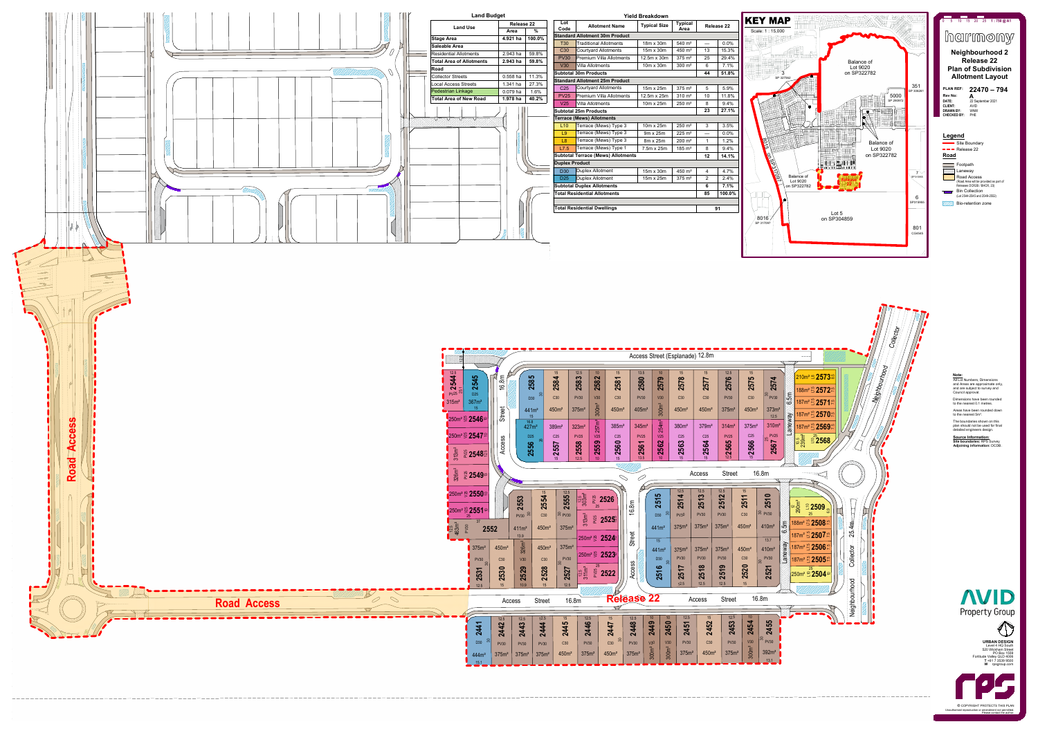

+61 7 3539 9500 Fortitude Valley QLD 4006 Level 4 HQ South  $\|\cdot\|$ 520 Wickham Street **T** +61 7 3539 9500<br>**W** [rpsgroup.com](http://www.rpsgroup.com/) **[URBAN DESIGN](https://www.rpsgroup.com/Australia-Asia-Pacific/Services/Urban-Design.aspx)** PO Box 1559 | |



**©** COPYRIGHT PROTECTS THIS PLAN Unauthorised reproduction or amendment not permitted.

#### **Note:**

All Lot Numbers, Dimensions and Areas are approximate only, and are subject to survey and Council approval.

Dimensions have been rounded to the nearest 0.1 metres.

Areas have been rounded down to the nearest 5m². The boundaries shown on this

plan should not be used for final detailed engineers design.

**Source Information: Site boundaries:** RPS Survey **Adjoining information:** DCDB.







| <b>Yield Breakdown</b>             |                                                                        |                                   |                     |                |                   |  |  |  |  |
|------------------------------------|------------------------------------------------------------------------|-----------------------------------|---------------------|----------------|-------------------|--|--|--|--|
| Lot<br>Code                        | <b>Typical</b><br><b>Typical Size</b><br><b>Allotment Name</b><br>Area |                                   |                     |                | <b>Release 22</b> |  |  |  |  |
|                                    | <b>Standard Allotment 30m Product</b>                                  |                                   |                     |                |                   |  |  |  |  |
| <b>T30</b>                         | <b>Traditional Allotments</b>                                          | 18m x 30m                         | 540 m <sup>2</sup>  |                | 0.0%              |  |  |  |  |
| C <sub>30</sub>                    | <b>Courtyard Allotments</b>                                            | 15m x 30m                         | $450 \; \text{m}^2$ | 13             | 15.3%             |  |  |  |  |
| <b>PV30</b>                        | <b>Premium Villa Allotments</b>                                        | 12.5m x 30m                       | $375 \; \text{m}^2$ | 25             | 29.4%             |  |  |  |  |
| V30                                | <b>Villa Allotments</b>                                                | 10m x 30m                         | $300 \; \text{m}^2$ | 6              | 7.1%              |  |  |  |  |
|                                    | <b>Subtotal 30m Products</b>                                           |                                   |                     | 44             | 51.8%             |  |  |  |  |
|                                    | <b>Standard Allotment 25m Product</b>                                  |                                   |                     |                |                   |  |  |  |  |
| C <sub>25</sub>                    | <b>Courtyard Allotments</b>                                            | 15m x 25m                         | $375 \; \text{m}^2$ | 5              | 5.9%              |  |  |  |  |
| <b>PV25</b>                        | <b>Premium Villa Allotments</b>                                        | 12.5m x 25m                       | $310 \; \text{m}^2$ | 10             | 11.8%             |  |  |  |  |
| V25                                | <b>Villa Allotments</b>                                                | 10m x 25m                         | $250 \; \text{m}^2$ | 8              | 9.4%              |  |  |  |  |
|                                    | <b>Subtotal 25m Products</b><br>23<br>27.1%                            |                                   |                     |                |                   |  |  |  |  |
|                                    | <b>Terrace (Mews) Allotments</b>                                       |                                   |                     |                |                   |  |  |  |  |
| L10                                | Terrace (Mews) Type 3                                                  | 10m x 25m                         | $250 \; \text{m}^2$ | 3              | 3.5%              |  |  |  |  |
| L9                                 | Terrace (Mews) Type 3                                                  | 9m x 25m                          | $225 \text{ m}^2$   |                | 0.0%              |  |  |  |  |
| L8                                 | Terrace (Mews) Type 3                                                  | 8m x 25m                          | $200 \; \text{m}^2$ | 1              | 1.2%              |  |  |  |  |
| L7.5                               | Terrace (Mews) Type 1                                                  | 7.5m x 25m<br>$185 \; \text{m}^2$ |                     | 8              | 9.4%              |  |  |  |  |
|                                    | <b>Subtotal Terrace (Mews) Allotments</b>                              |                                   |                     | 12             | 14.1%             |  |  |  |  |
| <b>Duplex Product</b>              |                                                                        |                                   |                     |                |                   |  |  |  |  |
| <b>D30</b>                         | <b>Duplex Allotment</b>                                                | 15m x 30m                         | 450 m <sup>2</sup>  | $\overline{4}$ | 4.7%              |  |  |  |  |
| D <sub>25</sub>                    | <b>Duplex Allotment</b>                                                | 15m x 25m                         | $375 \; \text{m}^2$ | 2              | 2.4%              |  |  |  |  |
|                                    | <b>Subtotal Duplex Allotments</b>                                      |                                   |                     | 6              | 7.1%              |  |  |  |  |
|                                    | <b>Total Residential Allotments</b>                                    |                                   |                     | 85             | 100.0%            |  |  |  |  |
|                                    |                                                                        |                                   |                     |                |                   |  |  |  |  |
| <b>Total Residential Dwellings</b> |                                                                        | 91                                |                     |                |                   |  |  |  |  |



 $\sqrt{\frac{8016}{\text{SP 317097}} }$ 

|  | <b>Land Budget</b>              |                   |               |                                                                       | <b>Yield Breakd</b>                       |               |  |  |
|--|---------------------------------|-------------------|---------------|-----------------------------------------------------------------------|-------------------------------------------|---------------|--|--|
|  | <b>Land Use</b>                 | <b>Release 22</b> |               | Lot<br>Code                                                           | <b>Allotment Name</b>                     | <b>Typica</b> |  |  |
|  |                                 | Area              | $\frac{9}{6}$ |                                                                       | <b>Standard Allotment 30m Product</b>     |               |  |  |
|  | <b>Stage Area</b>               | 4.921 ha          | 100.0%        | <b>T30</b>                                                            | <b>Traditional Allotments</b>             | 18m x         |  |  |
|  | <b>Saleable Area</b>            |                   |               | C <sub>30</sub>                                                       | <b>Courtyard Allotments</b>               | 15m x         |  |  |
|  | <b>Residential Allotments</b>   | 2.943 ha          | 59.8%         | <b>PV30</b>                                                           | <b>Premium Villa Allotments</b>           | 12.5m         |  |  |
|  | <b>Total Area of Allotments</b> | 2.943 ha          | 59.8%         | V30                                                                   | <b>Villa Allotments</b>                   | 10m x         |  |  |
|  | Road                            |                   |               |                                                                       |                                           |               |  |  |
|  | <b>Collector Streets</b>        | $0.558$ ha        | 11.3%         | <b>Subtotal 30m Products</b><br><b>Standard Allotment 25m Product</b> |                                           |               |  |  |
|  | <b>Local Access Streets</b>     | 1.341 ha          | 27.3%         |                                                                       | <b>Courtyard Allotments</b>               |               |  |  |
|  | <b>Pedestrian Linkage</b>       | 0.079 ha          | 1.6%          | C <sub>25</sub>                                                       |                                           | 15m x         |  |  |
|  | <b>Total Area of New Road</b>   | 1.978 ha          | 40.2%         | <b>PV25</b>                                                           | <b>Premium Villa Allotments</b>           | 12.5m         |  |  |
|  |                                 |                   |               | V <sub>25</sub>                                                       | <b>Villa Allotments</b>                   | 10m x         |  |  |
|  |                                 |                   |               | <b>Subtotal 25m Products</b><br><b>Terrace (Mews) Allotments</b>      |                                           |               |  |  |
|  |                                 |                   |               |                                                                       |                                           |               |  |  |
|  |                                 |                   |               | L10                                                                   | Terrace (Mews) Type 3                     | 10m x         |  |  |
|  |                                 |                   |               | L9                                                                    | Terrace (Mews) Type 3                     | $9m \times 2$ |  |  |
|  |                                 |                   |               | L8                                                                    | Terrace (Mews) Type 3                     | $8m \times 2$ |  |  |
|  |                                 |                   |               | L7.5                                                                  | Terrace (Mews) Type 1                     | 7.5m x        |  |  |
|  |                                 |                   |               |                                                                       | <b>Subtotal Terrace (Mews) Allotments</b> |               |  |  |
|  |                                 |                   |               | <b>Duplex Product</b>                                                 |                                           |               |  |  |
|  |                                 |                   |               | <b>D30</b>                                                            | <b>Duplex Allotment</b>                   | 15m x         |  |  |
|  |                                 |                   |               | D <sub>25</sub>                                                       | <b>Duplex Allotment</b>                   | 15m x         |  |  |
|  |                                 |                   |               |                                                                       | <b>Subtotal Duplex Allotments</b>         |               |  |  |
|  |                                 |                   |               |                                                                       | <b>Total Residential Allotments</b>       |               |  |  |
|  |                                 |                   |               |                                                                       |                                           |               |  |  |
|  |                                 |                   |               |                                                                       | <b>Total Residential Dwellings</b>        |               |  |  |
|  |                                 |                   |               |                                                                       |                                           |               |  |  |
|  |                                 |                   |               |                                                                       |                                           |               |  |  |
|  |                                 | RANA              |               |                                                                       |                                           |               |  |  |
|  |                                 |                   |               |                                                                       |                                           |               |  |  |